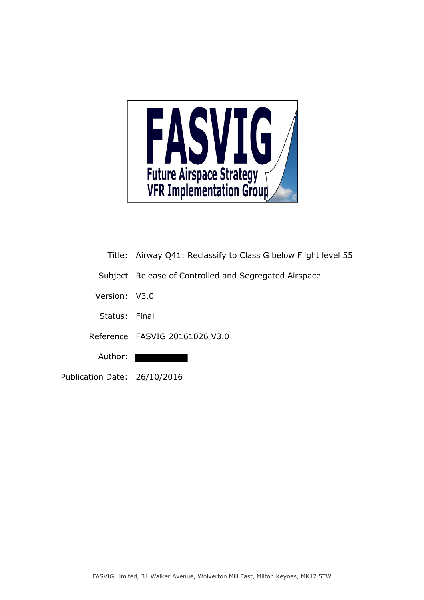

- Title: Airway Q41: Reclassify to Class G below Flight level 55
- Subject Release of Controlled and Segregated Airspace
- Version: V3.0
- Status: Final
- Reference FASVIG 20161026 V3.0
	- Author:  $\blacksquare$
- Publication Date: 26/10/2016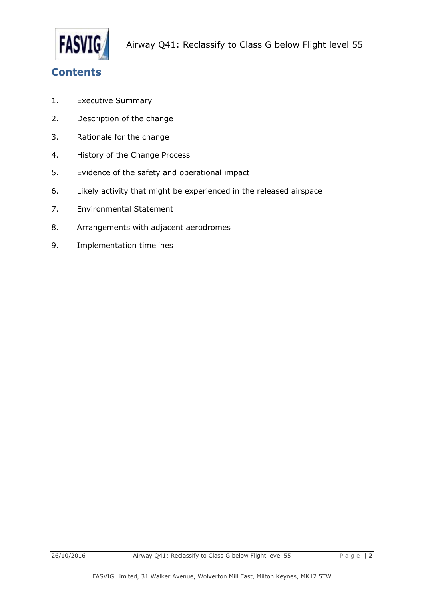

# **Contents**

- 1. Executive Summary
- 2. Description of the change
- 3. Rationale for the change
- 4. History of the Change Process
- 5. Evidence of the safety and operational impact
- 6. Likely activity that might be experienced in the released airspace
- 7. Environmental Statement
- 8. Arrangements with adjacent aerodromes
- 9. Implementation timelines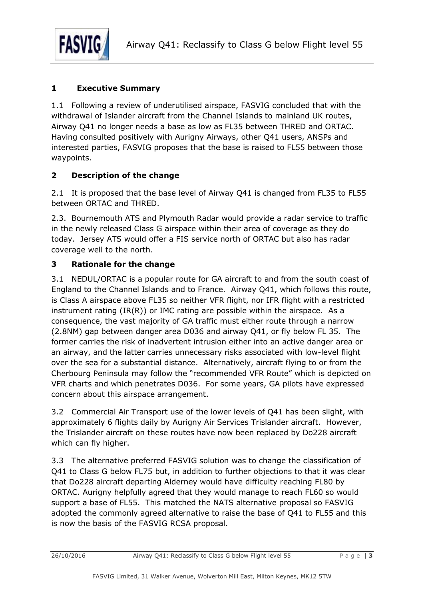

#### **1 Executive Summary**

1.1 Following a review of underutilised airspace, FASVIG concluded that with the withdrawal of Islander aircraft from the Channel Islands to mainland UK routes, Airway Q41 no longer needs a base as low as FL35 between THRED and ORTAC. Having consulted positively with Aurigny Airways, other Q41 users, ANSPs and interested parties, FASVIG proposes that the base is raised to FL55 between those waypoints.

### **2 Description of the change**

2.1 It is proposed that the base level of Airway Q41 is changed from FL35 to FL55 between ORTAC and THRED.

2.3. Bournemouth ATS and Plymouth Radar would provide a radar service to traffic in the newly released Class G airspace within their area of coverage as they do today. Jersey ATS would offer a FIS service north of ORTAC but also has radar coverage well to the north.

### **3 Rationale for the change**

3.1 NEDUL/ORTAC is a popular route for GA aircraft to and from the south coast of England to the Channel Islands and to France. Airway Q41, which follows this route, is Class A airspace above FL35 so neither VFR flight, nor IFR flight with a restricted instrument rating  $(IR(R))$  or IMC rating are possible within the airspace. As a consequence, the vast majority of GA traffic must either route through a narrow (2.8NM) gap between danger area D036 and airway Q41, or fly below FL 35. The former carries the risk of inadvertent intrusion either into an active danger area or an airway, and the latter carries unnecessary risks associated with low-level flight over the sea for a substantial distance. Alternatively, aircraft flying to or from the Cherbourg Peninsula may follow the "recommended VFR Route" which is depicted on VFR charts and which penetrates D036. For some years, GA pilots have expressed concern about this airspace arrangement.

3.2 Commercial Air Transport use of the lower levels of Q41 has been slight, with approximately 6 flights daily by Aurigny Air Services Trislander aircraft. However, the Trislander aircraft on these routes have now been replaced by Do228 aircraft which can fly higher.

3.3 The alternative preferred FASVIG solution was to change the classification of Q41 to Class G below FL75 but, in addition to further objections to that it was clear that Do228 aircraft departing Alderney would have difficulty reaching FL80 by ORTAC. Aurigny helpfully agreed that they would manage to reach FL60 so would support a base of FL55. This matched the NATS alternative proposal so FASVIG adopted the commonly agreed alternative to raise the base of Q41 to FL55 and this is now the basis of the FASVIG RCSA proposal.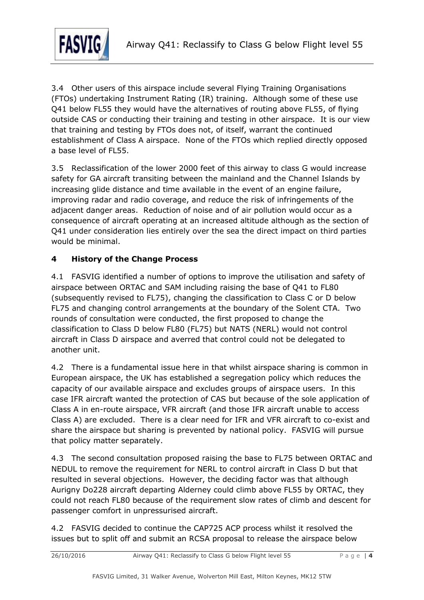

3.4 Other users of this airspace include several Flying Training Organisations (FTOs) undertaking Instrument Rating (IR) training. Although some of these use Q41 below FL55 they would have the alternatives of routing above FL55, of flying outside CAS or conducting their training and testing in other airspace. It is our view that training and testing by FTOs does not, of itself, warrant the continued establishment of Class A airspace. None of the FTOs which replied directly opposed a base level of FL55.

3.5 Reclassification of the lower 2000 feet of this airway to class G would increase safety for GA aircraft transiting between the mainland and the Channel Islands by increasing glide distance and time available in the event of an engine failure, improving radar and radio coverage, and reduce the risk of infringements of the adjacent danger areas. Reduction of noise and of air pollution would occur as a consequence of aircraft operating at an increased altitude although as the section of Q41 under consideration lies entirely over the sea the direct impact on third parties would be minimal.

### **4 History of the Change Process**

4.1 FASVIG identified a number of options to improve the utilisation and safety of airspace between ORTAC and SAM including raising the base of Q41 to FL80 (subsequently revised to FL75), changing the classification to Class C or D below FL75 and changing control arrangements at the boundary of the Solent CTA. Two rounds of consultation were conducted, the first proposed to change the classification to Class D below FL80 (FL75) but NATS (NERL) would not control aircraft in Class D airspace and averred that control could not be delegated to another unit.

4.2 There is a fundamental issue here in that whilst airspace sharing is common in European airspace, the UK has established a segregation policy which reduces the capacity of our available airspace and excludes groups of airspace users. In this case IFR aircraft wanted the protection of CAS but because of the sole application of Class A in en-route airspace, VFR aircraft (and those IFR aircraft unable to access Class A) are excluded. There is a clear need for IFR and VFR aircraft to co-exist and share the airspace but sharing is prevented by national policy. FASVIG will pursue that policy matter separately.

4.3 The second consultation proposed raising the base to FL75 between ORTAC and NEDUL to remove the requirement for NERL to control aircraft in Class D but that resulted in several objections. However, the deciding factor was that although Aurigny Do228 aircraft departing Alderney could climb above FL55 by ORTAC, they could not reach FL80 because of the requirement slow rates of climb and descent for passenger comfort in unpressurised aircraft.

4.2 FASVIG decided to continue the CAP725 ACP process whilst it resolved the issues but to split off and submit an RCSA proposal to release the airspace below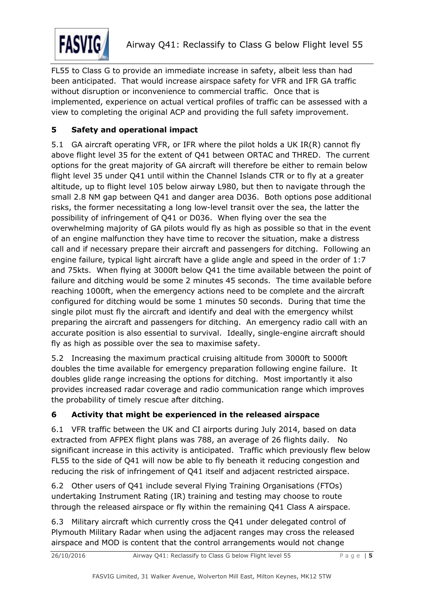

FL55 to Class G to provide an immediate increase in safety, albeit less than had been anticipated. That would increase airspace safety for VFR and IFR GA traffic without disruption or inconvenience to commercial traffic. Once that is implemented, experience on actual vertical profiles of traffic can be assessed with a view to completing the original ACP and providing the full safety improvement.

## **5 Safety and operational impact**

5.1 GA aircraft operating VFR, or IFR where the pilot holds a UK IR(R) cannot fly above flight level 35 for the extent of Q41 between ORTAC and THRED. The current options for the great majority of GA aircraft will therefore be either to remain below flight level 35 under Q41 until within the Channel Islands CTR or to fly at a greater altitude, up to flight level 105 below airway L980, but then to navigate through the small 2.8 NM gap between Q41 and danger area D036. Both options pose additional risks, the former necessitating a long low-level transit over the sea, the latter the possibility of infringement of Q41 or D036. When flying over the sea the overwhelming majority of GA pilots would fly as high as possible so that in the event of an engine malfunction they have time to recover the situation, make a distress call and if necessary prepare their aircraft and passengers for ditching. Following an engine failure, typical light aircraft have a glide angle and speed in the order of 1:7 and 75kts. When flying at 3000ft below Q41 the time available between the point of failure and ditching would be some 2 minutes 45 seconds. The time available before reaching 1000ft, when the emergency actions need to be complete and the aircraft configured for ditching would be some 1 minutes 50 seconds. During that time the single pilot must fly the aircraft and identify and deal with the emergency whilst preparing the aircraft and passengers for ditching. An emergency radio call with an accurate position is also essential to survival. Ideally, single-engine aircraft should fly as high as possible over the sea to maximise safety.

5.2 Increasing the maximum practical cruising altitude from 3000ft to 5000ft doubles the time available for emergency preparation following engine failure. It doubles glide range increasing the options for ditching. Most importantly it also provides increased radar coverage and radio communication range which improves the probability of timely rescue after ditching.

### **6 Activity that might be experienced in the released airspace**

6.1 VFR traffic between the UK and CI airports during July 2014, based on data extracted from AFPEX flight plans was 788, an average of 26 flights daily. No significant increase in this activity is anticipated. Traffic which previously flew below FL55 to the side of Q41 will now be able to fly beneath it reducing congestion and reducing the risk of infringement of Q41 itself and adjacent restricted airspace.

6.2 Other users of Q41 include several Flying Training Organisations (FTOs) undertaking Instrument Rating (IR) training and testing may choose to route through the released airspace or fly within the remaining Q41 Class A airspace.

6.3 Military aircraft which currently cross the Q41 under delegated control of Plymouth Military Radar when using the adjacent ranges may cross the released airspace and MOD is content that the control arrangements would not change